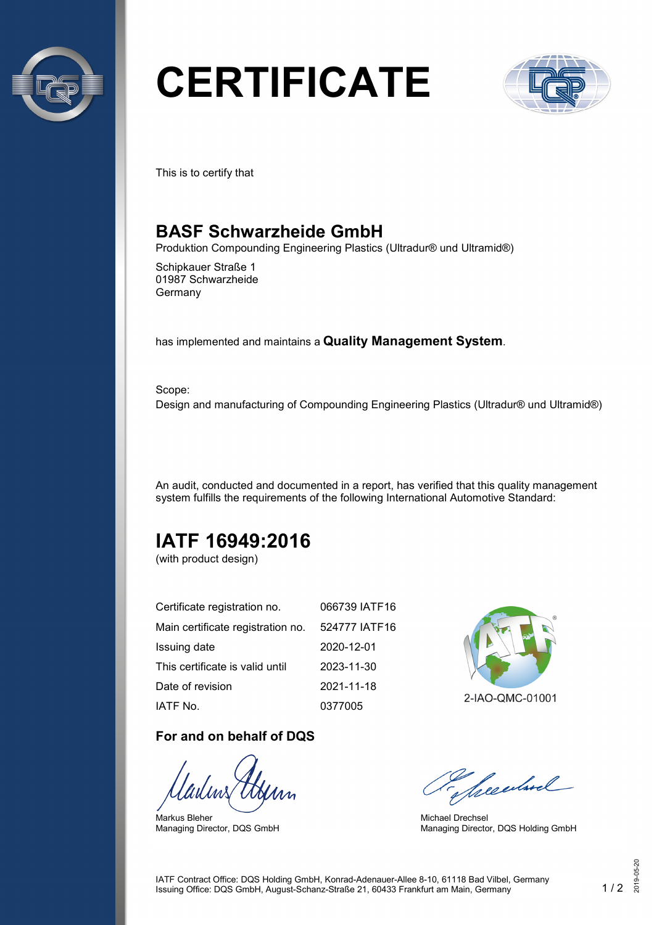

# **CERTIFICATE**



This is to certify that

## **BASF Schwarzheide GmbH**

Produktion Compounding Engineering Plastics (Ultradur® und Ultramid®)

Schipkauer Straße 1 01987 Schwarzheide Germany

has implemented and maintains a **Quality Management System**.

Scope: Design and manufacturing of Compounding Engineering Plastics (Ultradur® und Ultramid®)

An audit, conducted and documented in a report, has verified that this quality management system fulfills the requirements of the following International Automotive Standard:

# **IATF 16949:2016**

(with product design)

| Certificate registration no.      | 066739 IATF16 |
|-----------------------------------|---------------|
| Main certificate registration no. | 524777 IATF16 |
| Issuing date                      | 2020-12-01    |
| This certificate is valid until   | 2023-11-30    |
| Date of revision                  | 2021-11-18    |
| IATF No.                          | 0377005       |

#### **For and on behalf of DQS**

Markus Bleher Managing Director, DQS GmbH



2-IAO-QMC-01001

Sheedwel

Michael Drechsel Managing Director, DQS Holding GmbH

IATF Contract Office: DQS Holding GmbH, Konrad-Adenauer-Allee 8-10, 61118 Bad Vilbel, Germany Issuing Office: DQS GmbH, August-Schanz-Straße 21, 60433 Frankfurt am Main, Germany 1 / 2